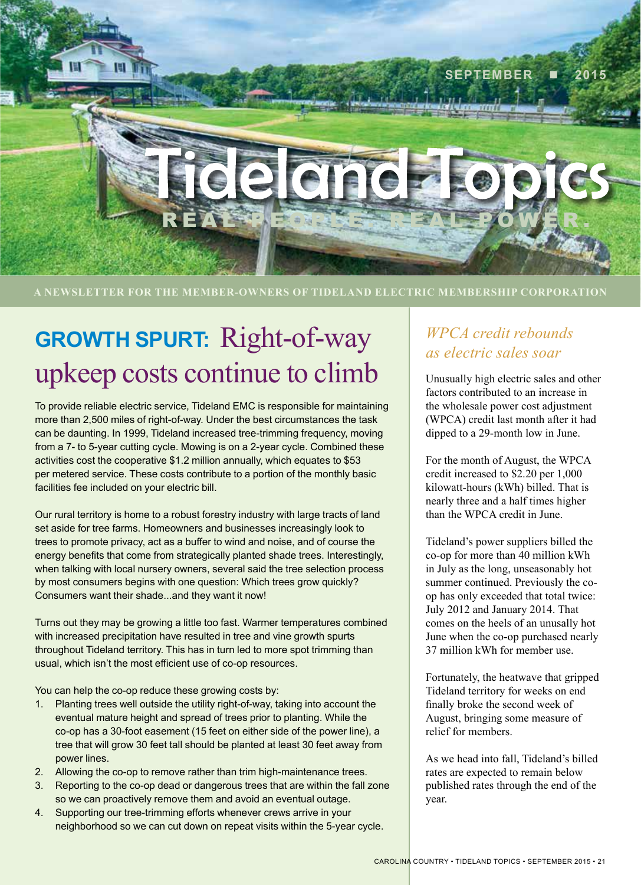

**A NEWSLETTER FOR THE MEMBER-OWNERS OF TIDELAND ELECTRIC MEMBERSHIP CORPORATION**

# **GROWTH SPURT:** Right-of-way upkeep costs continue to climb

To provide reliable electric service, Tideland EMC is responsible for maintaining more than 2,500 miles of right-of-way. Under the best circumstances the task can be daunting. In 1999, Tideland increased tree-trimming frequency, moving from a 7- to 5-year cutting cycle. Mowing is on a 2-year cycle. Combined these activities cost the cooperative \$1.2 million annually, which equates to \$53 per metered service. These costs contribute to a portion of the monthly basic facilities fee included on your electric bill.

Our rural territory is home to a robust forestry industry with large tracts of land set aside for tree farms. Homeowners and businesses increasingly look to trees to promote privacy, act as a buffer to wind and noise, and of course the energy benefits that come from strategically planted shade trees. Interestingly, when talking with local nursery owners, several said the tree selection process by most consumers begins with one question: Which trees grow quickly? Consumers want their shade...and they want it now!

Turns out they may be growing a little too fast. Warmer temperatures combined with increased precipitation have resulted in tree and vine growth spurts throughout Tideland territory. This has in turn led to more spot trimming than usual, which isn't the most efficient use of co-op resources.

You can help the co-op reduce these growing costs by:

- 1. Planting trees well outside the utility right-of-way, taking into account the eventual mature height and spread of trees prior to planting. While the co-op has a 30-foot easement (15 feet on either side of the power line), a tree that will grow 30 feet tall should be planted at least 30 feet away from power lines.
- 2. Allowing the co-op to remove rather than trim high-maintenance trees.
- 3. Reporting to the co-op dead or dangerous trees that are within the fall zone so we can proactively remove them and avoid an eventual outage.
- 4. Supporting our tree-trimming efforts whenever crews arrive in your neighborhood so we can cut down on repeat visits within the 5-year cycle.

#### *WPCA credit rebounds as electric sales soar*

Unusually high electric sales and other factors contributed to an increase in the wholesale power cost adjustment (WPCA) credit last month after it had dipped to a 29-month low in June.

For the month of August, the WPCA credit increased to \$2.20 per 1,000 kilowatt-hours (kWh) billed. That is nearly three and a half times higher than the WPCA credit in June.

Tideland's power suppliers billed the co-op for more than 40 million kWh in July as the long, unseasonably hot summer continued. Previously the coop has only exceeded that total twice: July 2012 and January 2014. That comes on the heels of an unusally hot June when the co-op purchased nearly 37 million kWh for member use.

Fortunately, the heatwave that gripped Tideland territory for weeks on end finally broke the second week of August, bringing some measure of relief for members.

As we head into fall, Tideland's billed rates are expected to remain below published rates through the end of the year.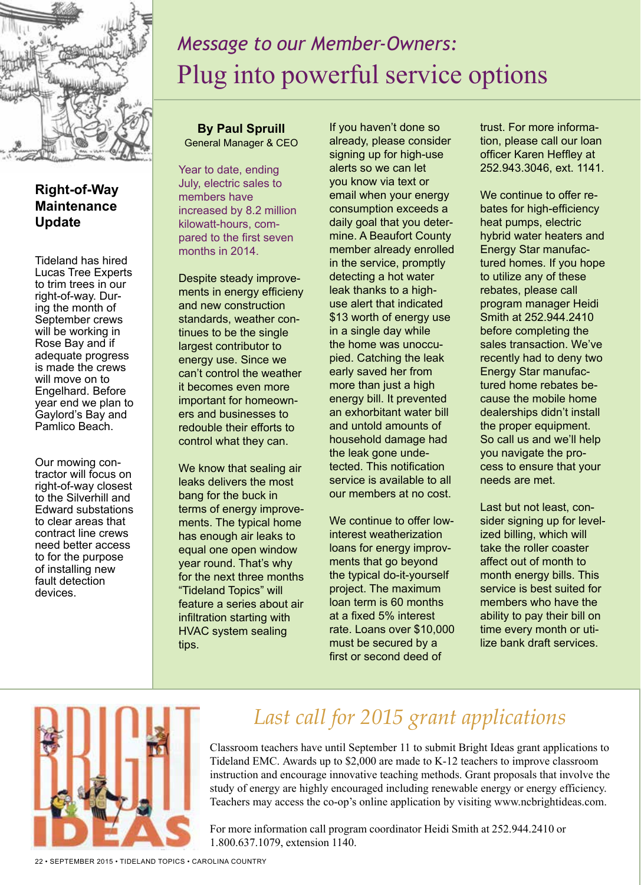

#### **Right-of-Way Maintenance Update**

Tideland has hired Lucas Tree Experts to trim trees in our right-of-way. During the month of September crews will be working in Rose Bay and if adequate progress is made the crews will move on to Engelhard. Before year end we plan to Gaylord's Bay and Pamlico Beach.

Our mowing contractor will focus on right-of-way closest to the Silverhill and Edward substations to clear areas that contract line crews need better access to for the purpose of installing new fault detection devices.

## *Message to our Member-Owners:* Plug into powerful service options

**By Paul Spruill** General Manager & CEO

Year to date, ending July, electric sales to members have increased by 8.2 million kilowatt-hours, compared to the first seven months in 2014.

Despite steady improvements in energy efficieny and new construction standards, weather continues to be the single largest contributor to energy use. Since we can't control the weather it becomes even more important for homeowners and businesses to redouble their efforts to control what they can.

We know that sealing air leaks delivers the most bang for the buck in terms of energy improvements. The typical home has enough air leaks to equal one open window year round. That's why for the next three months "Tideland Topics" will feature a series about air infiltration starting with HVAC system sealing tips.

If you haven't done so already, please consider signing up for high-use alerts so we can let you know via text or email when your energy consumption exceeds a daily goal that you determine. A Beaufort County member already enrolled in the service, promptly detecting a hot water leak thanks to a highuse alert that indicated \$13 worth of energy use in a single day while the home was unoccupied. Catching the leak early saved her from more than just a high energy bill. It prevented an exhorbitant water bill and untold amounts of household damage had the leak gone undetected. This notification service is available to all our members at no cost.

We continue to offer lowinterest weatherization loans for energy improvments that go beyond the typical do-it-yourself project. The maximum loan term is 60 months at a fixed 5% interest rate. Loans over \$10,000 must be secured by a first or second deed of

trust. For more information, please call our loan officer Karen Heffley at 252.943.3046, ext. 1141.

We continue to offer rebates for high-efficiency heat pumps, electric hybrid water heaters and Energy Star manufactured homes. If you hope to utilize any of these rebates, please call program manager Heidi Smith at 252.944.2410 before completing the sales transaction. We've recently had to deny two Energy Star manufactured home rebates because the mobile home dealerships didn't install the proper equipment. So call us and we'll help you navigate the process to ensure that your needs are met.

Last but not least, consider signing up for levelized billing, which will take the roller coaster affect out of month to month energy bills. This service is best suited for members who have the ability to pay their bill on time every month or utilize bank draft services.



## *Last call for 2015 grant applications*

Classroom teachers have until September 11 to submit Bright Ideas grant applications to Tideland EMC. Awards up to \$2,000 are made to K-12 teachers to improve classroom instruction and encourage innovative teaching methods. Grant proposals that involve the study of energy are highly encouraged including renewable energy or energy efficiency. Teachers may access the co-op's online application by visiting www.ncbrightideas.com.

For more information call program coordinator Heidi Smith at 252.944.2410 or 1.800.637.1079, extension 1140.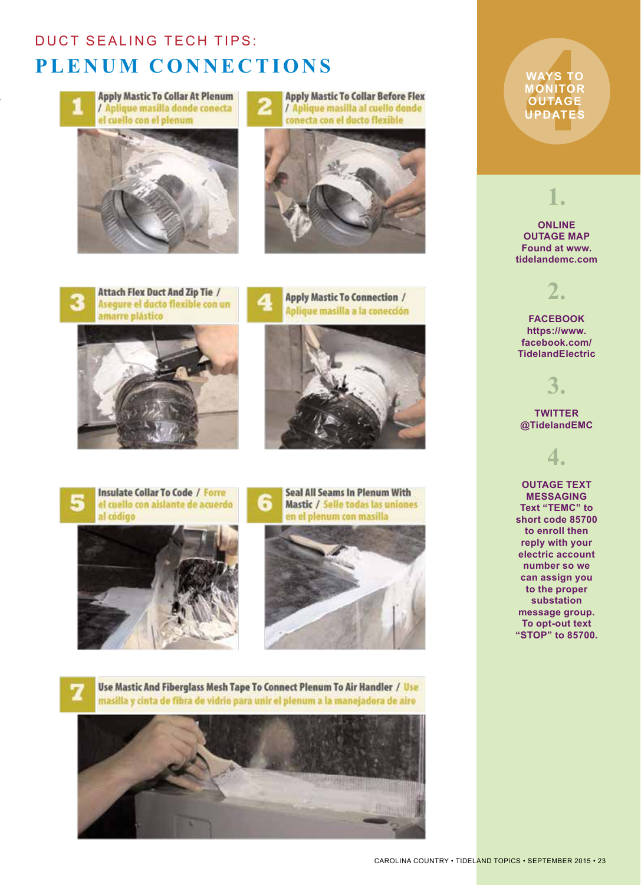## **DUCT SEALING TECH TIPS: PLENUM CONNECTIONS**



**Apply Mastic To Collar At Plenum** / Aplique masilla donde conecta el cuello con el plenum



**Apply Mastic To Collar Before Flex** / Aplique masilla al cuello donde conecta con el ducto flexible



**Attach Flex Duct And Zip Tie /** Asegure el ducto flexible con un amarre plástico



**Apply Mastic To Connection /** Aplique masilla a la conección











Use Mastic And Fiberglass Mesh Tape To Connect Plenum To Air Handler / Use masilla y cinta de fibra de vidrio para unir el plenum a la manejadora de aire



**WAYS TO<br>MONITOR<br>OUTAGE<br>UPDATES WAYS TO MONITOR OUTAGE UPDATES**

**1.**

**ONLINE OUTAGE MAP Found at www. tidelandemc.com**



**FACEBOOK https://www. facebook.com/ TidelandElectric**

**3.**

**TWITTER @TidelandEMC**



**OUTAGE TEXT MESSAGING Text "TEMC" to short code 85700 to enroll then reply with your electric account number so we can assign you to the proper substation message group. To opt-out text "STOP" to 85700.**